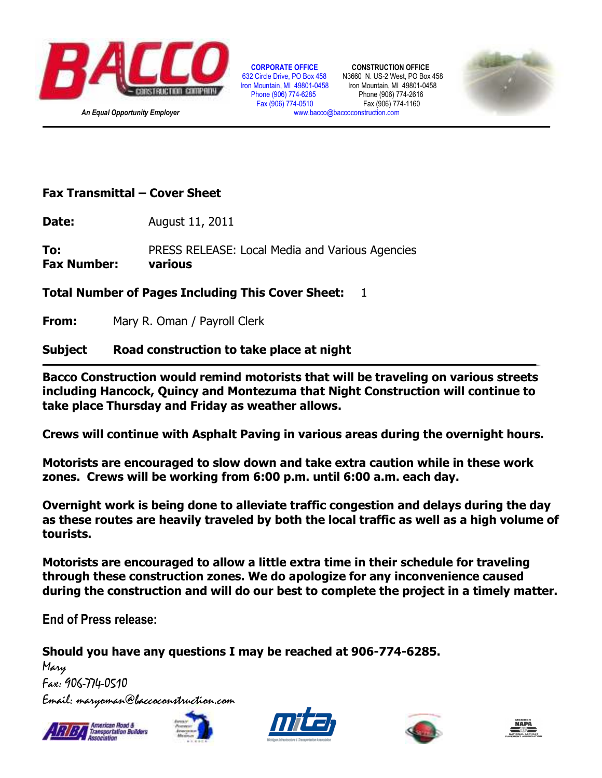

 **CORPORATE OFFICE CONSTRUCTION OFFICE**  632 Circle Drive, PO Box 458 N3660 N. US-2 West, PO Box 458<br>Iron Mountain, MI 49801-0458 Iron Mountain, MI 49801-0458 Phone (906) 774-6285 Phone (906) 774-2616 Fax (906) 774-0510

Iron Mountain, MI 49801-0458



## **Fax Transmittal – Cover Sheet**

**Date:** August 11, 2011

**To:** PRESS RELEASE: Local Media and Various Agencies **Fax Number: various**

## **Total Number of Pages Including This Cover Sheet:** 1

**From:** Mary R. Oman / Payroll Clerk

## **Subject Road construction to take place at night**

**Bacco Construction would remind motorists that will be traveling on various streets including Hancock, Quincy and Montezuma that Night Construction will continue to take place Thursday and Friday as weather allows.** 

**Crews will continue with Asphalt Paving in various areas during the overnight hours.** 

**Motorists are encouraged to slow down and take extra caution while in these work zones. Crews will be working from 6:00 p.m. until 6:00 a.m. each day.** 

**Overnight work is being done to alleviate traffic congestion and delays during the day as these routes are heavily traveled by both the local traffic as well as a high volume of tourists.** 

**Motorists are encouraged to allow a little extra time in their schedule for traveling through these construction zones. We do apologize for any inconvenience caused during the construction and will do our best to complete the project in a timely matter.** 

**End of Press release:** 

**Should you have any questions I may be reached at 906-774-6285.** 

Mary Fax: 906-774-0510 Email: maryoman@baccoconstruction.com